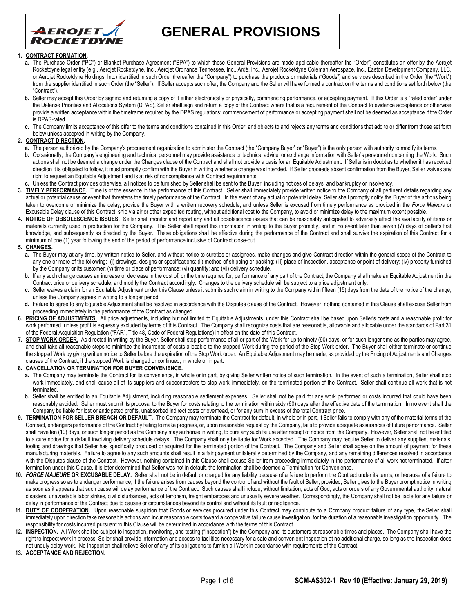

**GENERAL PROVISIONS**

### **1. CONTRACT FORMATION.**

- **a.** The Purchase Order ("PO") or Blanket Purchase Agreement ("BPA") to which these General Provisions are made applicable (hereafter the "Order") constitutes an offer by the Aerojet Rocketdyne legal entity (e.g., Aerojet Rocketdyne, Inc., Aerojet Ordnance Tennessee, Inc., Ardé, Inc., Aerojet Rocketdyne Coleman Aerospace, Inc., Easton Development Company, LLC, or Aerojet Rocketdyne Holdings, Inc.) identified in such Order (hereafter the "Company") to purchase the products or materials ("Goods") and services described in the Order (the "Work") from the supplier identified in such Order (the "Seller"). If Seller accepts such offer, the Company and the Seller will have formed a contract on the terms and conditions set forth below (the "Contract").
- b. Seller may accept this Order by signing and returning a copy of it either electronically or physically, commencing performance, or accepting payment. If this Order is a "rated order" under the Defense Priorities and Allocations System (DPAS), Seller shall sign and return a copy of the Contract where that is a requirement of the Contract to evidence acceptance or otherwise provide a written acceptance within the timeframe required by the DPAS requlations; commencement of performance or accepting payment shall not be deemed as acceptance if the Order is DPAS-rated.
- **c.** The Company limits acceptance of this offer to the terms and conditions contained in this Order, and objects to and rejects any terms and conditions that add to or differ from those set forth below unless accepted in writing by the Company.

# **2. CONTRACT DIRECTION.**

- **a.** The person authorized by the Company's procurement organization to administer the Contract (the "Company Buyer" or "Buyer") is the only person with authority to modify its terms.
- **b.** Occasionally, the Company's engineering and technical personnel may provide assistance or technical advice, or exchange information with Seller's personnel concerning the Work. Such actions shall not be deemed a change under the Changes clause of the Contract and shall not provide a basis for an Equitable Adjustment. If Seller is in doubt as to whether it has received direction it is obligated to follow, it must promptly confirm with the Buyer in writing whether a change was intended. If Seller proceeds absent confirmation from the Buyer, Seller waives any right to request an Equitable Adjustment and is at risk of noncompliance with Contract requirements.
- **c.** Unless the Contract provides otherwise, all notices to be furnished by Seller shall be sent to the Buyer, including notices of delays, and bankruptcy or insolvency.
- **3. TIMELY PERFORMANCE.** Time is of the essence in the performance of this Contract. Seller shall immediately provide written notice to the Company of all pertinent details regarding any actual or potential cause or event that threatens the timely performance of the Contract. In the event of any actual or potential delay, Seller shall promptly notify the Buyer of the actions being taken to overcome or minimize the delay, provide the Buyer with a written recovery schedule, and unless Seller is excused from timely performance as provided in the *Force Majeure* or Excusable Delay clause of this Contract, ship via air or other expedited routing, without additional cost to the Company, to avoid or minimize delay to the maximum extent possible.
- **4. NOTICE OF OBSOLESCENCE ISSUES.** Seller shall monitor and report any and all obsolescence issues that can be reasonably anticipated to adversely affect the availability of items or materials currently used in production for the Company. The Seller shall report this information in writing to the Buyer promptly, and in no event later than seven (7) days of Seller's first knowledge, and subsequently as directed by the Buyer. These obligations shall be effective during the performance of the Contract and shall survive the expiration of this Contract for a minimum of one (1) year following the end of the period of performance inclusive of Contract close-out.

### **5. CHANGES.**

- a. The Buyer may at any time, by written notice to Seller, and without notice to sureties or assignees, make changes and give Contract direction within the general scope of the Contract to any one or more of the following: (i) drawings, designs or specifications; (ii) method of shipping or packing; (iii) place of inspection, acceptance or point of delivery; (iv) property furnished by the Company or its customer; (v) time or place of performance; (vi) quantity; and (vii) delivery schedule.
- b. If any such change causes an increase or decrease in the cost of, or the time required for, performance of any part of the Contract, the Company shall make an Equitable Adjustment in the Contract price or delivery schedule, and modify the Contract accordingly. Changes to the delivery schedule will be subject to a price adjustment only.
- **c.** Seller waives a claim for an Equitable Adjustment under this Clause unless it submits such claim in writing to the Company within fifteen (15) days from the date of the notice of the change, unless the Company agrees in writing to a longer period.
- Failure to agree to any Equitable Adjustment shall be resolved in accordance with the Disputes clause of the Contract. However, nothing contained in this Clause shall excuse Seller from proceeding immediately in the performance of the Contract as changed.
- 6. PRICING OF ADJUSTMENTS. All price adjustments, including but not limited to Equitable Adjustments, under this Contract shall be based upon Seller's costs and a reasonable profit for work performed, unless profit is expressly excluded by terms of this Contract. The Company shall recognize costs that are reasonable, allowable and allocable under the standards of Part 31 of the Federal Acquisition Regulation ("FAR", Title 48, Code of Federal Regulations) in effect on the date of this Contract.
- 7. **STOP WORK ORDER.** As directed in writing by the Buyer, Seller shall stop performance of all or part of the Work for up to ninety (90) days, or for such longer time as the parties may agree, and shall take all reasonable steps to minimize the incurrence of costs allocable to the stopped Work during the period of the Stop Work order. The Buyer shall either terminate or continue the stopped Work by giving written notice to Seller before the expiration of the Stop Work order. An Equitable Adjustment may be made, as provided by the Pricing of Adjustments and Changes clauses of the Contract, if the stopped Work is changed or continued, in whole or in part.

#### **8. CANCELLATION OR TERMINATION FOR BUYER CONVENIENCE.**

- a. The Company may terminate the Contract for its convenience, in whole or in part, by giving Seller written notice of such termination. In the event of such a termination, Seller shall stop work immediately, and shall cause all of its suppliers and subcontractors to stop work immediately, on the terminated portion of the Contract. Seller shall continue all work that is not terminated.
- b. Seller shall be entitled to an Equitable Adjustment, including reasonable settlement expenses. Seller shall not be paid for any work performed or costs incurred that could have been reasonably avoided. Seller must submit its proposal to the Buyer for costs relating to the termination within sixty (60) days after the effective date of the termination. In no event shall the Company be liable for lost or anticipated profits, unabsorbed indirect costs or overhead, or for any sum in excess of the total Contract price.
- 9. **TERMINATION FOR SELLER BREACH OR DEFAULT**. The Company may terminate the Contract for default, in whole or in part, if Seller fails to comply with any of the material terms of the Contract, endangers performance of the Contract by failing to make progress, or, upon reasonable request by the Company, fails to provide adequate assurances of future performance. Seller shall have ten (10) days, or such longer period as the Company may authorize in writing, to cure any such failure after receipt of notice from the Company. However, Seller shall not be entitled to a cure notice for a default involving delivery schedule delays. The Company shall only be liable for Work accepted. The Company may require Seller to deliver any supplies, materials, tooling and drawings that Seller has specifically produced or acquired for the terminated portion of the Contract. The Company and Seller shall agree on the amount of payment for these manufacturing materials. Failure to agree to any such amounts shall result in a fair payment unilaterally determined by the Company, and any remaining differences resolved in accordance with the Disputes clause of the Contract. However, nothing contained in this Clause shall excuse Seller from proceeding immediately in the performance of all work not terminated. If after termination under this Clause, it is later determined that Seller was not in default, the termination shall be deemed a Termination for Convenience.
- **10.** *FORCE MAJEURE* **OR EXCUSABLE DELAY.** Seller shall not be in default or charged for any liability because of a failure to perform the Contract under its terms, or because of a failure to make progress so as to endanger performance, if the failure arises from causes beyond the control of and without the fault of Seller; provided, Seller gives to the Buyer prompt notice in writing as soon as it appears that such cause will delay performance of the Contract. Such causes shall include, without limitation, acts of God, acts or orders of any Governmental authority, natural disasters, unavoidable labor strikes, civil disturbances, acts of terrorism, freight embargoes and unusually severe weather. Correspondingly, the Company shall not be liable for any failure or delay in performance of the Contract due to causes or circumstances beyond its control and without its fault or negligence.
- 11. **DUTY OF COOPERATION**. Upon reasonable suspicion that Goods or services procured under this Contract may contribute to a Company product failure of any type, the Seller shall immediately upon direction take reasonable actions and incur reasonable costs toward a cooperative failure cause investigation, for the duration of a reasonable investigation opportunity. The responsibility for costs incurred pursuant to this Clause will be determined in accordance with the terms of this Contract.
- **12. INSPECTION.** All Work shall be subject to inspection, monitoring, and testing ("Inspection") by the Company and its customers at reasonable times and places. The Company shall have the right to inspect work in process. Seller shall provide information and access to facilities necessary for a safe and convenient Inspection at no additional charge, so long as the Inspection does not unduly delay work. No Inspection shall relieve Seller of any of its obligations to furnish all Work in accordance with requirements of the Contract.
- **13. ACCEPTANCE AND REJECTION.**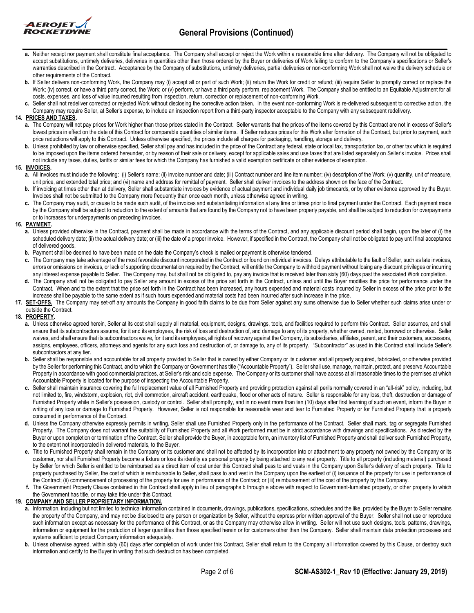

- **a.** Neither receipt nor payment shall constitute final acceptance. The Company shall accept or reject the Work within a reasonable time after delivery. The Company will not be obligated to accept substitutions, untimely deliveries, deliveries in quantities other than those ordered by the Buyer or deliveries of Work failing to conform to the Company's specifications or Seller's warranties described in the Contract. Acceptance by the Company of substitutions, untimely deliveries, partial deliveries or non-conforming Work shall not waive the delivery schedule or other requirements of the Contract.
- **b.** If Seller delivers non-conforming Work, the Company may (i) accept all or part of such Work; (ii) return the Work for credit or refund; (iii) require Seller to promptly correct or replace the Work; (iv) correct, or have a third party correct, the Work; or (v) perform, or have a third party perform, replacement Work. The Company shall be entitled to an Equitable Adjustment for all costs, expenses, and loss of value incurred resulting from inspection, return, correction or replacement of non-conforming Work.
- Seller shall not redeliver corrected or rejected Work without disclosing the corrective action taken. In the event non-conforming Work is re-delivered subsequent to corrective action, the Company may require Seller, at Seller's expense, to include an inspection report from a third-party inspector acceptable to the Company with any subsequent redelivery.

### **14. PRICES AND TAXES.**

- **a.** The Company will not pay prices for Work higher than those prices stated in the Contract. Seller warrants that the prices of the items covered by this Contract are not in excess of Seller's lowest prices in effect on the date of this Contract for comparable quantities of similar items. If Seller reduces prices for this Work after formation of the Contract, but prior to payment, such price reductions will apply to this Contract. Unless otherwise specified, the prices include all charges for packaging, handling, storage and delivery.
- **b.** Unless prohibited by law or otherwise specified, Seller shall pay and has included in the price of the Contract any federal, state or local tax, transportation tax, or other tax which is required to be imposed upon the items ordered hereunder, or by reason of their sale or delivery, except for applicable sales and use taxes that are listed separately on Seller's invoice. Prices shall not include any taxes, duties, tariffs or similar fees for which the Company has furnished a valid exemption certificate or other evidence of exemption.

### **15. INVOICES.**

- **a.** All invoices must include the following: (i) Seller's name; (ii) invoice number and date; (iii) Contract number and line item number; (iv) description of the Work; (v) quantity, unit of measure, unit price, and extended total price; and (vi) name and address for remittal of payment. Seller shall deliver invoices to the address shown on the face of the Contract.
- **b.** If invoicing at times other than at delivery, Seller shall substantiate invoices by evidence of actual payment and individual daily job timecards, or by other evidence approved by the Buyer. Invoices shall not be submitted to the Company more frequently than once each month, unless otherwise agreed in writing.
- **c.** The Company may audit, or cause to be made such audit, of the invoices and substantiating information at any time or times prior to final payment under the Contract. Each payment made by the Company shall be subject to reduction to the extent of amounts that are found by the Company not to have been properly payable, and shall be subject to reduction for overpayments or to increases for underpayments on preceding invoices.

### **16. PAYMENT.**

- **a.** Unless provided otherwise in the Contract, payment shall be made in accordance with the terms of the Contract, and any applicable discount period shall begin, upon the later of (i) the scheduled delivery date; (ii) the actual delivery date; or (iii) the date of a proper invoice. However, if specified in the Contract, the Company shall not be obligated to pay until final acceptance of delivered goods,
- **b.** Payment shall be deemed to have been made on the date the Company's check is mailed or payment is otherwise tendered.
- **c.** The Company may take advantage of the most favorable discount incorporated in the Contract or found on individual invoices. Delays attributable to the fault of Seller, such as late invoices, errors or omissions on invoices, or lack of supporting documentation required by the Contract, will entitle the Company to withhold payment without losing any discount privileges or incurring any interest expense payable to Seller. The Company may, but shall not be obligated to, pay any invoice that is received later than sixty (60) days past the associated Work completion.
- **d.** The Company shall not be obligated to pay Seller any amount in excess of the price set forth in the Contract, unless and until the Buyer modifies the price for performance under the Contract. When and to the extent that the price set forth in the Contract has been increased, any hours expended and material costs incurred by Seller in excess of the price prior to the increase shall be payable to the same extent as if such hours expended and material costs had been incurred after such increase in the price.
- **17. SET-OFFS.** The Company may set-off any amounts the Company in good faith claims to be due from Seller against any sums otherwise due to Seller whether such claims arise under or outside the Contract.

## **18. PROPERTY.**

- **a.** Unless otherwise agreed herein, Seller at its cost shall supply all material, equipment, designs, drawings, tools, and facilities required to perform this Contract. Seller assumes, and shall ensure that its subcontractors assume, for it and its employees, the risk of loss and destruction of, and damage to any of its property, whether owned, rented, borrowed or otherwise. Seller waives, and shall ensure that its subcontractors waive, for it and its employees, all rights of recovery against the Company, its subsidiaries, affiliates, parent, and their customers, successors, assigns, employees, officers, attorneys and agents for any such loss and destruction of, or damage to, any of its property. "Subcontractor" as used in this Contract shall include Seller's subcontractors at any tier.
- b. Seller shall be responsible and accountable for all property provided to Seller that is owned by either Company or its customer and all property acquired, fabricated, or otherwise provided by the Seller for performing this Contract, and to which the Company or Government has title ("Accountable Property"). Seller shall use, manage, maintain, protect, and preserve Accountable Property in accordance with good commercial practices, at Seller's risk and sole expense. The Company or its customer shall have access at all reasonable times to the premises at which Accountable Property is located for the purpose of inspecting the Accountable Property.
- **c.** Seller shall maintain insurance covering the full replacement value of all Furnished Property and providing protection against all perils normally covered in an "all-risk" policy, including, but not limited to, fire, windstorm, explosion, riot, civil commotion, aircraft accident, earthquake, flood or other acts of nature. Seller is responsible for any loss, theft, destruction or damage of Furnished Property while in Seller's possession, custody or control. Seller shall promptly, and in no event more than ten (10) days after first learning of such an event, inform the Buyer in writing of any loss or damage to Furnished Property. However, Seller is not responsible for reasonable wear and tear to Furnished Property or for Furnished Property that is properly consumed in performance of the Contract.
- **d.** Unless the Company otherwise expressly permits in writing, Seller shall use Furnished Property only in the performance of the Contract. Seller shall mark, tag or segregate Furnished Property. The Company does not warrant the suitability of Furnished Property and all Work performed must be in strict accordance with drawings and specifications. As directed by the Buyer or upon completion or termination of the Contract, Seller shall provide the Buyer, in acceptable form, an inventory list of Furnished Property and shall deliver such Furnished Property, to the extent not incorporated in delivered materials, to the Buyer.
- **e.** Title to Furnished Property shall remain in the Company or its customer and shall not be affected by its incorporation into or attachment to any property not owned by the Company or its customer, nor shall Furnished Property become a fixture or lose its identity as personal property by being attached to any real property. Title to all property (including material) purchased by Seller for which Seller is entitled to be reimbursed as a direct item of cost under this Contract shall pass to and vests in the Company upon Seller's delivery of such property. Title to property purchased by Seller, the cost of which is reimbursable to Seller, shall pass to and vest in the Company upon the earliest of (i) issuance of the property for use in performance of the Contract; (ii) commencement of processing of the property for use in performance of the Contract; or (iii) reimbursement of the cost of the property by the Company.
- **f.** The Government Property Clause contained in this Contract shall apply in lieu of paragraphs b through e above with respect to Government-furnished property, or other property to which the Government has title, or may take title under this Contract.

# **19. COMPANY AND SELLER PROPRIETARY INFORMATION.**

- **a.** Information, including but not limited to technical information contained in documents, drawings, publications, specifications, schedules and the like, provided by the Buyer to Seller remains the property of the Company, and may not be disclosed to any person or organization by Seller, without the express prior written approval of the Buyer. Seller shall not use or reproduce such information except as necessary for the performance of this Contract, or as the Company may otherwise allow in writing. Seller will not use such designs, tools, patterns, drawings, information or equipment for the production of larger quantities than those specified herein or for customers other than the Company. Seller shall maintain data protection processes and systems sufficient to protect Company information adequately.
- **b.** Unless otherwise agreed, within sixty (60) days after completion of work under this Contract, Seller shall return to the Company all information covered by this Clause, or destroy such information and certify to the Buyer in writing that such destruction has been completed.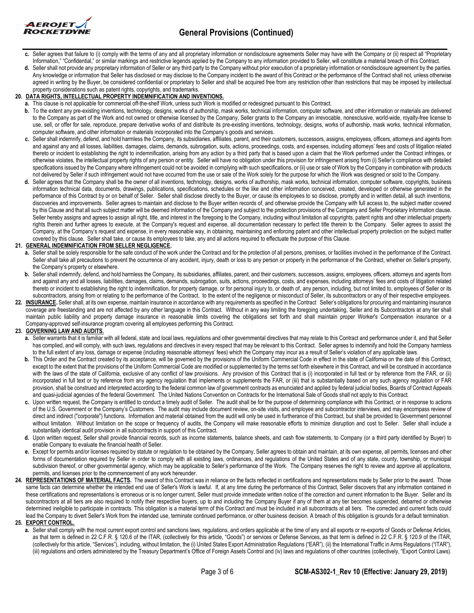

- **\_\_\_\_\_\_\_\_\_\_\_\_\_\_\_\_\_\_\_\_\_\_\_\_\_\_\_\_\_\_\_\_\_\_\_\_\_\_\_\_\_\_\_\_\_\_\_\_\_\_\_\_\_\_\_\_\_\_\_\_\_\_\_\_\_\_\_\_\_\_\_\_\_\_\_\_\_\_\_\_\_\_\_\_\_\_** c. Seller agrees that failure to (i) comply with the terms of any and all proprietary information or nondisclosure agreements Seller may have with the Company or (ii) respect all "Proprietary Information," "Confidential," or similar markings and restrictive legends applied by the Company to any information provided to Seller, will constitute a material breach of this Contract.
- **d.** Seller shall not provide any proprietary information of Seller or any third party to the Company without prior execution of a proprietary information or nondisclosure agreement by the parties. Any knowledge or information that Seller has disclosed or may disclose to the Company incident to the award of this Contract or the performance of the Contract shall not, unless otherwise agreed in writing by the Buyer, be considered confidential or proprietary to Seller and shall be acquired free from any restriction other than restrictions that may be imposed by intellectual property considerations such as patent rights, copyrights, and trademarks.

## **20. DATA RIGHTS, INTELLECTUAL PROPERTY INDEMNIFICATION AND INVENTIONS.**

- **a.** This clause is not applicable for commercial off-the-shelf Work, unless such Work is modified or redesigned pursuant to this Contract.
- **b.** To the extent any pre-existing inventions, technology, designs, works of authorship, mask works, technical information, computer software, and other information or materials are delivered to the Company as part of the Work and not owned or otherwise licensed by the Company, Seller grants to the Company an irrevocable, nonexclusive, world-wide, royalty-free license to use, sell, or offer for sale, reproduce, prepare derivative works of and distribute its pre-existing inventions, technology, designs, works of authorship, mask works, technical information, computer software, and other information or materials incorporated into the Company's goods and services.
- **c.** Seller shall indemnify, defend, and hold harmless the Company, its subsidiaries, affiliates, parent, and their customers, successors, assigns, employees, officers, attorneys and agents from and against any and all losses, liabilities, damages, claims, demands, subrogation, suits, actions, proceedings, costs, and expenses, including attorneys' fees and costs of litigation related thereto or incident to establishing the right to indemnification, arising from any action by a third party that is based upon a claim that the Work performed under the Contract infringes, or otherwise violates, the intellectual property rights of any person or entity. Seller will have no obligation under this provision for infringement arising from (i) Seller's compliance with detailed specifications issued by the Company where infringement could not be avoided in complying with such specifications, or (ii) use or sale of Work by the Company in combination with products not delivered by Seller if such infringement would not have occurred from the use or sale of the Work solely for the purpose for which the Work was designed or sold to the Company.
- **d.** Seller agrees that the Company shall be the owner of all inventions, technology, designs, works of authorship, mask works, technical information, computer software, copyrights, business information technical data, documents, drawings, publications, specifications, schedules or the like and other information conceived, created, developed or otherwise generated in the performance of this Contract by or on behalf of Seller. Seller shall disclose directly to the Buyer, or cause its employees to so disclose, promptly and in written detail, all such inventions, discoveries and improvements. Seller agrees to maintain and disclose to the Buyer written records of, and otherwise provide the Company with full access to, the subject matter covered by this Clause and that all such subject matter will be deemed information of the Company and subject to the protection provisions of the Company and Seller Proprietary Information clause. Seller hereby assigns and agrees to assign all right, title, and interest in the foregoing to the Company, including without limitation all copyrights, patent rights and other intellectual property rights therein and further agrees to execute, at the Company's request and expense, all documentation necessary to perfect title therein to the Company. Seller agrees to assist the Company, at the Company's request and expense, in every reasonable way, in obtaining, maintaining and enforcing patent and other intellectual property protection on the subject matter covered by this clause. Seller shall take, or cause its employees to take, any and all actions required to effectuate the purpose of this Clause.

### **21. GENERAL INDEMNIFICATION FROM SELLER NEGLIGENCE.**

- **a.** Seller shall be solely responsible for the safe conduct of the work under the Contract and for the protection of all persons, premises, or facilities involved in the performance of the Contract. Seller shall take all precautions to prevent the occurrence of any accident, injury, death or loss to any person or property in the performance of the Contract, whether on Seller's property, the Company's property or elsewhere.
- **b.** Seller shall indemnify, defend, and hold harmless the Company, its subsidiaries, affiliates, parent, and their customers, successors, assigns, employees, officers, attorneys and agents from and against any and all losses, liabilities, damages, claims, demands, subrogation, suits, actions, proceedings, costs, and expenses, including attorneys' fees and costs of litigation related thereto or incident to establishing the right to indemnification, for property damage, or for personal injury to, or death of, any person, including, but not limited to, employees of Seller or its subcontractors, arising from or relating to the performance of the Contract, to the extent of the negligence or misconduct of Seller, its subcontractors or any of their respective employees.
- 22. INSURANCE. Seller shall, at its own expense, maintain insurance in accordance with any requirements as specified in the Contract Seller's obligations for procuring and maintaining insurance coverage are freestanding and are not affected by any other language in this Contract. Without in any way limiting the foregoing undertaking, Seller and its Subcontractors at any tier shall maintain public liability and property damage insurance in reasonable limits covering the obligations set forth and shall maintain proper Worker's Compensation insurance or a Company-approved self-insurance program covering all employees performing this Contract.

# **23. GOVERNING LAW AND AUDITS.**

- **a.** Seller warrants that it is familiar with all federal, state and local laws, regulations and other governmental directives that may relate to this Contract and performance under it, and that Seller has complied, and will comply, with such laws, regulations and directives in every respect that may be relevant to this Contract. Seller agrees to indemnify and hold the Company harmless to the full extent of any loss, damage or expense (including reasonable attorneys' fees) which the Company may incur as a result of Seller's violation of any applicable laws.
- **b.** This Order and the Contract created by its acceptance, will be governed by the provisions of the Uniform Commercial Code in effect in the state of California on the date of this Contract, except to the extent that the provisions of the Uniform Commercial Code are modified or supplemented by the terms set forth elsewhere in this Contract, and will be construed in accordance with the laws of the state of California, exclusive of any conflict of law provisions. Any provision of this Contract that is (i) incorporated in full text or by reference from the FAR, or (ii) incorporated in full text or by reference from any agency regulation that implements or supplements the FAR, or (iii) that is substantially based on any such agency regulation or FAR provision, shall be construed and interpreted according to the federal common law of government contracts as enunciated and applied by federal judicial bodies, Boards of Contract Appeals and quasi-judicial agencies of the federal Government. The United Nations Convention on Contracts for the International Sale of Goods shall not apply to this Contract.
- **c.** Upon written request, the Company is entitled to conduct a timely audit of Seller. The audit shall be for the purpose of determining compliance with this Contract, or in response to actions of the U.S. Government or the Company's Customers. The audit may include document review, on-site visits, and employee and subcontractor interviews, and may encompass review of direct and indirect ("corporate") functions. Information and material obtained from the audit will only be used in furtherance of this Contract, but shall be provided to Government personnel without limitation. Without limitation on the scope or frequency of audits, the Company will make reasonable efforts to minimize disruption and cost to Seller. Seller shall include a substantially identical audit provision in all subcontracts in support of this Contract.
- **d.** Upon written request, Seller shall provide financial records, such as income statements, balance sheets, and cash flow statements, to Company (or a third party identified by Buyer) to enable Company to evaluate the financial health of Seller.
- **e.** Except for permits and/or licenses required by statute or regulation to be obtained by the Company, Seller agrees to obtain and maintain, at its own expense, all permits, licenses and other forms of documentation required by Seller in order to comply with all existing laws, ordinances, and regulations of the United States and of any state, county, township, or municipal subdivision thereof, or other governmental agency, which may be applicable to Seller's performance of the Work. The Company reserves the right to review and approve all applications, permits, and licenses prior to the commencement of any work hereunder.
- 24. REPRESENTATIONS OF MATERIAL FACTS. The award of this Contract was in reliance on the facts reflected in certifications and representations made by Seller prior to the award. Those same facts can determine whether the intended end use of Seller's Work is lawful. If, at any time during the performance of this Contract, Seller discovers that any information contained in these certifications and representations is erroneous or is no longer current, Seller must provide immediate written notice of the correction and current information to the Buyer. Seller and its subcontractors at all tiers are also required to notify their respective buyers, up to and including the Company Buyer if any of them at any tier becomes suspended, debarred or otherwise determined ineligible to participate in contracts. This obligation is a material term of this Contract and must be included in all subcontracts at all tiers. The corrected and current facts could lead the Company to divert Seller's Work from the intended use, terminate continued performance, or other business decision. A breach of this obligation is grounds for a default termination. **25. EXPORT CONTROL.**
	- **a.** Seller shall comply with the most current export control and sanctions laws, regulations, and orders applicable at the time of any and all exports or re-exports of Goods or Defense Articles, as that term is defined in 22 C.F.R. § 120.6 of the ITAR, (collectively for this article, "Goods") or services or Defense Services, as that term is defined in 22 C.F.R. § 120.9 of the ITAR, (collectively for this article, "Services"), including, without limitation, the (i) United States Export Administration Regulations ("EAR"), (ii) the International Traffic in Arms Regulations ("ITAR"), (iii) regulations and orders administered by the Treasury Department's Office of Foreign Assets Control and (iv) laws and regulations of other countries (collectively, "Export Control Laws).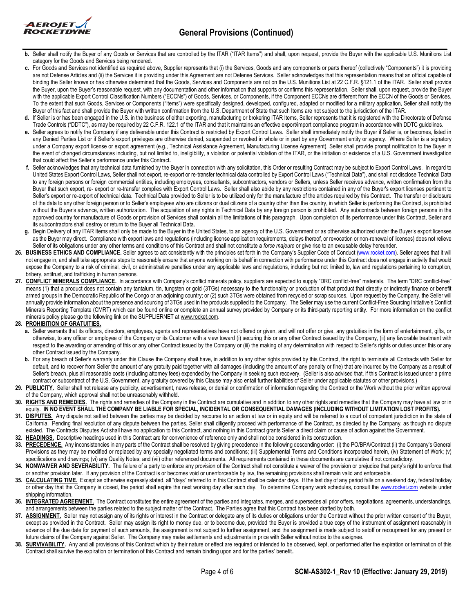

- **b.** Seller shall notify the Buyer of any Goods or Services that are controlled by the ITAR Items") and shall, upon request, provide the Buyer with the applicable U.S. Munitions List category for the Goods and Services being rendered.
- **c.** For Goods and Services not identified as required above, Supplier represents that (i) the Services, Goods and any components or parts thereof (collectively "Components") it is providing are not Defense Articles and (ii) the Services it is providing under this Agreement are not Defense Services. Seller acknowledges that this representation means that an official capable of binding the Seller knows or has otherwise determined that the Goods, Services and Components are not on the U.S. Munitions List at 22 C.F.R. §121.1 of the ITAR. Seller shall provide the Buyer, upon the Buyer's reasonable request, with any documentation and other information that supports or confirms this representation. Seller shall, upon request, provide the Buyer with the applicable Export Control Classification Numbers ("ECCNs") of Goods, Services, or Components, if the Component ECCNs are different from the ECCN of the Goods or Services. To the extent that such Goods, Services or Components ("Items") were specifically designed, developed, configured, adapted or modified for a military application, Seller shall notify the Buyer of this fact and shall provide the Buyer with written confirmation from the U.S. Department of State that such Items are not subject to the jurisdiction of the ITAR.
- **d.** If Seller is or has been engaged in the U.S. in the business of either exporting, manufacturing or brokering ITAR Items, Seller represents that it is registered with the Directorate of Defense Trade Controls ("DDTC"), as may be required by 22 C.F.R. 122.1 of the ITAR and that it maintains an effective export/import compliance program in accordance with DDTC guidelines.
- e. Seller agrees to notify the Company if any deliverable under this Contract is restricted by Export Control Laws. Seller shall immediately notify the Buyer if Seller is, or becomes, listed in any Denied Parties List or if Seller's export privileges are otherwise denied, suspended or revoked in whole or in part by any Government entity or agency. Where Seller is a signatory under a Company export license or export agreement (e.g., Technical Assistance Agreement, Manufacturing License Agreement), Seller shall provide prompt notification to the Buyer in the event of changed circumstances including, but not limited to, ineligibility, a violation or potential violation of the ITAR, or the initiation or existence of a U.S. Government investigation that could affect the Seller's performance under this Contract**.**
- **f.** Seller acknowledges that any technical data furnished by the Buyer in connection with any solicitation, this Order or resulting Contract may be subject to Export Control Laws. In regard to United States Export Control Laws, Seller shall not export, re-export or re-transfer technical data controlled by Export Control Laws ("Technical Data"), and shall not disclose Technical Data to any foreign persons or foreign commercial entities, including employees, consultants, subcontractors, vendors or Sellers, unless Seller receives advance, written confirmation from the Buyer that such export, re- export or re-transfer complies with Export Control Laws. Seller shall also abide by any restrictions contained in any of the Buyer's export licenses pertinent to Seller's export or re-export of technical data. Technical Data provided to Seller is to be utilized only for the manufacture of the articles required by this Contract. The transfer or disclosure of the data to any other foreign person or to Seller's employees who are citizens or dual citizens of a country other than the country, in which Seller is performing the Contract, is prohibited without the Buyer's advance, written authorization. The acquisition of any rights in Technical Data by any foreign person is prohibited. Any subcontracts between foreign persons in the approved country for manufacture of Goods or provision of Services shall contain all the limitations of this paragraph. Upon completion of its performance under this Contract, Seller and its subcontractors shall destroy or return to the Buyer all Technical Data.
- Begin Delivery of any ITAR Items shall only be made to the Buyer in the United States, to an agency of the U.S. Government or as otherwise authorized under the Buyer's export licenses as the Buyer may direct. Compliance with export laws and regulations (including license application requirements, delays thereof, or revocation or non-renewal of licenses) does not relieve Seller of its obligations under any other terms and conditions of this Contract and shall not constitute a *force majeure* or give rise to an excusable delay hereunder.
- 26. BUSINESS ETHICS AND COMPLIANCE. Seller agrees to act consistently with the principles set forth in the Company's Supplier Code of Conduct [\(www.rocket.com\).](http://www.rocket.com/) Seller agrees that it will not engage in, and shall take appropriate steps to reasonably ensure that anyone working on its behalf in connection with performance under this Contract does not engage in activity that would expose the Company to a risk of criminal, civil, or administrative penalties under any applicable laws and regulations, including but not limited to, law and regulations pertaining to corruption, bribery, antitrust, and trafficking in human persons.
- 27. CONFLICT MINERALS COMPLIANCE. In accordance with Company's conflict minerals policy, suppliers are expected to supply "DRC conflict-free" materials. The term "DRC conflict-free" means (1) that a product does not contain any tantalum, tin, tungsten or gold (3TGs) necessary to the functionality or production of that product that directly or indirectly finance or benefit armed groups in the Democratic Republic of the Congo or an adjoining country; or (2) such 3TGs were obtained from recycled or scrap sources. Upon request by the Company, the Seller will annually provide information about the presence and sourcing of 3TGs used in the products supplied to the Company. The Seller may use the current Conflict-Free Sourcing Initiative's Conflict Minerals Reporting Template (CMRT) which can be found online or complete an annual survey provided by Company or its third-party reporting entity. For more information on the conflict minerals policy please go the following link on the SUPPLIERNET at www.rocket.com.

# **28. PROHIBITION OF GRATUITIES.**

- **a.** Seller warrants that its officers, directors, employees, agents and representatives have not offered or given, and will not offer or give, any gratuities in the form of entertainment, gifts, or otherwise, to any officer or employee of the Company or its Customer with a view toward (i) securing this or any other Contract issued by the Company, (ii) any favorable treatment with respect to the awarding or amending of this or any other Contract issued by the Company or (iii) the making of any determination with respect to Seller's rights or duties under this or any other Contract issued by the Company.
- b. For any breach of Seller's warranty under this Clause the Company shall have, in addition to any other rights provided by this Contract, the right to terminate all Contracts with Seller for default, and to recover from Seller the amount of any gratuity paid together with all damages (including the amount of any penalty or fine) that are incurred by the Company as a result of Seller's breach, plus all reasonable costs (including attorney fees) expended by the Company in seeking such recovery. (Seller is also advised that, if this Contract is issued under a prime contract or subcontract of the U.S. Government, any gratuity covered by this Clause may also entail further liabilities of Seller under applicable statutes or other provisions.)
- 29. PUBLICITY. Seller shall not release any publicity, advertisement, news release, or denial or confirmation of information regarding the Contract or the Work without the prior written approval of the Company, which approval shall not be unreasonably withheld.
- **30. RIGHTS AND REMEDIES.** The rights and remedies of the Company in the Contract are cumulative and in addition to any other rights and remedies that the Company may have at law or in equity. **IN NO EVENT SHALL THE COMPANY BE LIABLE FOR SPECIAL, INCIDENTAL OR CONSEQUENTIAL DAMAGES (INCLUDING WITHOUT LIMITATION LOST PROFITS).**
- 31. DISPUTES. Any dispute not settled between the parties may be decided by recourse to an action at law or in equity and will be referred to a court of competent jurisdiction in the state of California. Pending final resolution of any dispute between the parties, Seller shall diligently proceed with performance of the Contract, as directed by the Company, as though no dispute existed. The Contracts Disputes Act shall have no application to this Contract, and nothing in this Contract grants Seller a direct claim or cause of action against the Government.
- **32. HEADINGS.** Descriptive headings used in this Contract are for convenience of reference only and shall not be considered in its construction.
- 33. PRECEDENCE. Any inconsistencies in any parts of the Contract shall be resolved by giving precedence in the following descending order: (i) the PO/BPA/Contract (ii) the Company's General Provisions as they may be modified or replaced by any specially negotiated terms and conditions; (iii) Supplemental Terms and Conditions incorporated herein, (iv) Statement of Work; (v) specifications and drawings; (vi) any Quality Notes; and (vii) other referenced documents. All requirements contained in these documents are cumulative if not contradictory.
- **34. NONWAIVER AND SEVERABILITY.** The failure of a party to enforce any provision of the Contract shall not constitute a waiver of the provision or prejudice that party's right to enforce that or another provision later. If any provision of the Contract is or becomes void or unenforceable by law, the remaining provisions shall remain valid and enforceable.
- 35. CALCULATING TIME. Except as otherwise expressly stated, all "days" referred to in this Contract shall be calendar days. If the last day of any period falls on a weekend day, federal holiday or other day that the Company is closed, the period shall expire the next working day after such day. To determine Company work schedules, consult th[e www.rocket.com](http://www.rocket.com/) website under shipping information.
- **36. INTEGRATED AGREEMENT.** The Contract constitutes the entire agreement of the parties and integrates, merges, and supersedes all prior offers, negotiations, agreements, understandings, and arrangements between the parties related to the subject matter of the Contract. The Parties agree that this Contract has been drafted by both.
- 37. ASSIGNMENT. Seller may not assign any of its rights or interest in the Contract or delegate any of its duties or obligations under the Contract without the prior written consent of the Buyer, except as provided in the Contract. Seller may assign its right to money due, or to become due, provided the Buyer is provided a true copy of the instrument of assignment reasonably in advance of the due date for payment of such amounts, the assignment is not subject to further assignment, and the assignment is made subject to setoff or recoupment for any present or future claims of the Company against Seller. The Company may make settlements and adjustments in price with Seller without notice to the assignee.
- **38. SURVIVABILITY.** Any and all provisions of this Contract which by their nature or effect are required or intended to be observed, kept, or performed after the expiration or termination of this Contract shall survive the expiration or termination of this Contract and remain binding upon and for the parties' benefit..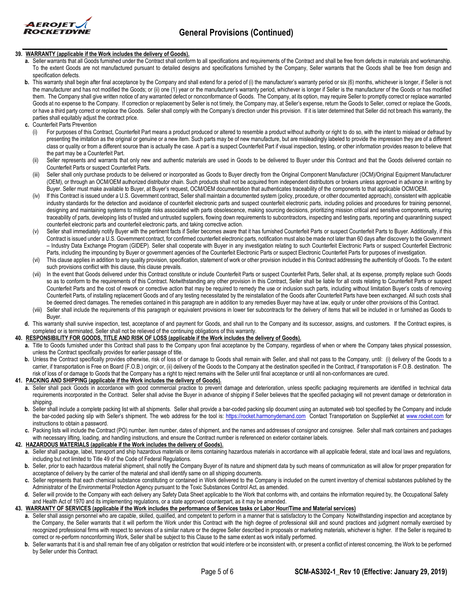

# **39. WARRANTY (applicable if the Work includes the delivery of Goods).**

- **a.** Seller warrants that all Goods furnished under the Contract shall conform to all specifications and requirements of the Contract and shall be free from defects in materials and workmanship. To the extent Goods are not manufactured pursuant to detailed designs and specifications furnished by the Company, Seller warrants that the Goods shall be free from design and specification defects.
- **b.** This warranty shall begin after final acceptance by the Company and shall extend for a period of (i) the manufacturer's warranty period or six (6) months, whichever is longer, if Seller is not the manufacturer and has not modified the Goods; or (ii) one (1) year or the manufacturer's warranty period, whichever is longer if Seller is the manufacturer of the Goods or has modified them. The Company shall give written notice of any warranted defect or nonconformance of Goods. The Company, at its option, may require Seller to promptly correct or replace warranted Goods at no expense to the Company. If correction or replacement by Seller is not timely, the Company may, at Seller's expense, return the Goods to Seller, correct or replace the Goods, or have a third party correct or replace the Goods. Seller shall comply with the Company's direction under this provision. If it is later determined that Seller did not breach this warranty, the parties shall equitably adjust the contract price.
- **c.** Counterfeit Parts Prevention
	- (i) For purposes of this Contract, Counterfeit Part means a product produced or altered to resemble a product without authority or right to do so, with the intent to mislead or defraud by presenting the imitation as the original or genuine or a new item. Such parts may be of new manufacture, but are misleadingly labeled to provide the impression they are of a different class or quality or from a different source than is actually the case. A part is a suspect Counterfeit Part if visual inspection, testing, or other information provides reason to believe that the part may be a Counterfeit Part.
	- (ii) Seller represents and warrants that only new and authentic materials are used in Goods to be delivered to Buyer under this Contract and that the Goods delivered contain no Counterfeit Parts or suspect Counterfeit Parts.
	- (iii) Seller shall only purchase products to be delivered or incorporated as Goods to Buyer directly from the Original Component Manufacturer (OCM)/Original Equipment Manufacturer (OEM), or through an OCM/OEM authorized distributor chain. Such products shall not be acquired from independent distributors or brokers unless approved in advance in writing by Buyer. Seller must make available to Buyer, at Buyer's request, OCM/OEM documentation that authenticates traceability of the components to that applicable OCM/OEM.
	- (iv) If this Contract is issued under a U.S. Government contract, Seller shall maintain a documented system (policy, procedure, or other documented approach), consistent with applicable industry standards for the detection and avoidance of counterfeit electronic parts and suspect counterfeit electronic parts, including policies and procedures for training personnel, designing and maintaining systems to mitigate risks associated with parts obsolescence, making sourcing decisions, prioritizing mission critical and sensitive components, ensuring traceability of parts, developing lists of trusted and untrusted suppliers, flowing down requirements to subcontractors, inspecting and testing parts, reporting and quarantining suspect counterfeit electronic parts and counterfeit electronic parts, and taking corrective action.
	- (v) Seller shall immediately notify Buyer with the pertinent facts if Seller becomes aware that it has furnished Counterfeit Parts or suspect Counterfeit Parts to Buyer. Additionally, if this Contract is issued under a U.S. Government contract, for confirmed counterfeit electronic parts, notification must also be made not later than 60 days after discovery to the Government – Industry Data Exchange Program (GIDEP). Seller shall cooperate with Buyer in any investigation relating to such Counterfeit Electronic Parts or suspect Counterfeit Electronic Parts, including the impounding by Buyer or government agencies of the Counterfeit Electronic Parts or suspect Electronic Counterfeit Parts for purposes of investigation.
	- (vi) This clause applies in addition to any quality provision, specification, statement of work or other provision included in this Contract addressing the authenticity of Goods. To the extent such provisions conflict with this clause, this clause prevails.
	- (vii) In the event that Goods delivered under this Contract constitute or include Counterfeit Parts or suspect Counterfeit Parts. Seller shall, at its expense, promptly replace such Goods so as to conform to the requirements of this Contract. Notwithstanding any other provision in this Contract, Seller shall be liable for all costs relating to Counterfeit Parts or suspect Counterfeit Parts and the cost of rework or corrective action that may be required to remedy the use or inclusion such parts, including without limitation Buyer's costs of removing Counterfeit Parts, of installing replacement Goods and of any testing necessitated by the reinstallation of the Goods after Counterfeit Parts have been exchanged. All such costs shall be deemed direct damages. The remedies contained in this paragraph are in addition to any remedies Buyer may have at law, equity or under other provisions of this Contract.
	- (viii) Seller shall include the requirements of this paragraph or equivalent provisions in lower tier subcontracts for the delivery of items that will be included in or furnished as Goods to Buyer.
- **d.** This warranty shall survive inspection, test, acceptance of and payment for Goods, and shall run to the Company and its successor, assigns, and customers. If the Contract expires, is completed or is terminated, Seller shall not be relieved of the continuing obligations of this warranty.

#### **40. RESPONSIBILITY FOR GOODS, TITLE AND RISK OF LOSS (applicable if the Work includes the delivery of Goods).**

- **a.** Title to Goods furnished under this Contract shall pass to the Company upon final acceptance by the Company, regardless of when or where the Company takes physical possession, unless the Contract specifically provides for earlier passage of title.
- **b.** Unless the Contract specifically provides otherwise, risk of loss of or damage to Goods shall remain with Seller, and shall not pass to the Company, until: (i) delivery of the Goods to a carrier, if transportation is Free on Board (F.O.B.) origin; or, (ii) delivery of the Goods to the Company at the destination specified in the Contract, if transportation is F.O.B. destination. The risk of loss of or damage to Goods that the Company has a right to reject remains with the Seller until final acceptance or until all non-conformances are cured.

## **41. PACKING AND SHIPPING (applicable if the Work includes the delivery of Goods).**

- **a.** Seller shall pack Goods in accordance with good commercial practice to prevent damage and deterioration, unless specific packaging requirements are identified in technical data requirements incorporated in the Contract. Seller shall advise the Buyer in advance of shipping if Seller believes that the specified packaging will not prevent damage or deterioration in shipping.
- **b.** Seller shall include a complete packing list with all shipments. Seller shall provide a bar-coded packing slip document using an automated web tool specified by the Company and include the bar-coded packing slip with Seller's shipment. The web address for the tool is: [https://rocket.harmonydemand.com](https://rocket.harmonydemand.com/) Contact Transportation on SupplierNet at [www.rocket.com](http://www.rocket.com/) for instructions to obtain a password.
- **c.** Packing lists will include the Contract (PO) number, item number, dates of shipment, and the names and addresses of consignor and consignee. Seller shall mark containers and packages with necessary lifting, loading, and handling instructions, and ensure the Contract number is referenced on exterior container labels.

#### **42. HAZARDOUS MATERIALS (applicable if the Work includes the delivery of Goods).**

- **a.** Seller shall package, label, transport and ship hazardous materials or items containing hazardous materials in accordance with all applicable federal, state and local laws and regulations, including but not limited to Title 49 of the Code of Federal Regulations.
- **b.** Seller, prior to each hazardous material shipment, shall notify the Company Buyer of its nature and shipment data by such means of communication as will allow for proper preparation for acceptance of delivery by the carrier of the material and shall identify same on all shipping documents.
- **c.** Seller represents that each chemical substance constituting or contained in Work delivered to the Company is included on the current inventory of chemical substances published by the Administrator of the Environmental Protection Agency pursuant to the Toxic Substances Control Act, as amended.
- Seller will provide to the Company with each delivery any Safety Data Sheet applicable to the Work that conforms with, and contains the information required by, the Occupational Safety and Health Act of 1970 and its implementing regulations, or a state approved counterpart, as it may be amended.

#### **43. WARRANTY OF SERVICES (applicable if the Work includes the performance of Services tasks or Labor Hour/Time and Material services)**

- **a.** Seller shall assign personnel who are capable, skilled, qualified, and competent to perform in a manner that is satisfactory to the Company Notwithstanding inspection and acceptance by the Company, the Seller warrants that it will perform the Work under this Contract with the high degree of professional skill and sound practices and judgment normally exercised by recognized professional firms with respect to services of a similar nature or the degree Seller described in proposals or marketing materials, whichever is higher. If the Seller is required to correct or re-perform nonconforming Work, Seller shall be subject to this Clause to the same extent as work initially performed.
- **b.** Seller warrants that it is and shall remain free of any obligation or restriction that would interfere or be inconsistent with, or present a conflict of interest concerning, the Work to be performed by Seller under this Contract.